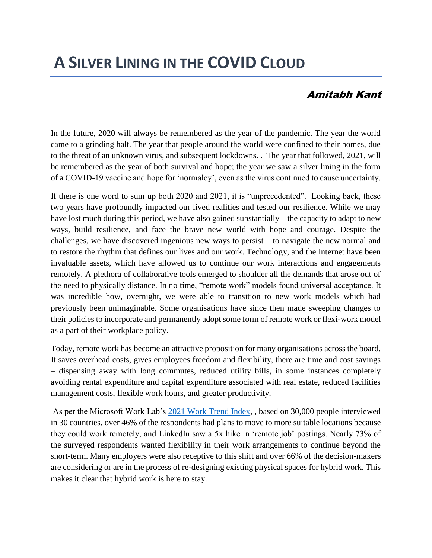## **A SILVER LINING IN THE COVID CLOUD**

## Amitabh Kant

In the future, 2020 will always be remembered as the year of the pandemic. The year the world came to a grinding halt. The year that people around the world were confined to their homes, due to the threat of an unknown virus, and subsequent lockdowns. . The year that followed, 2021, will be remembered as the year of both survival and hope; the year we saw a silver lining in the form of a COVID-19 vaccine and hope for 'normalcy', even as the virus continued to cause uncertainty.

If there is one word to sum up both 2020 and 2021, it is "unprecedented". Looking back, these two years have profoundly impacted our lived realities and tested our resilience. While we may have lost much during this period, we have also gained substantially – the capacity to adapt to new ways, build resilience, and face the brave new world with hope and courage. Despite the challenges, we have discovered ingenious new ways to persist – to navigate the new normal and to restore the rhythm that defines our lives and our work. Technology, and the Internet have been invaluable assets, which have allowed us to continue our work interactions and engagements remotely. A plethora of collaborative tools emerged to shoulder all the demands that arose out of the need to physically distance. In no time, "remote work" models found universal acceptance. It was incredible how, overnight, we were able to transition to new work models which had previously been unimaginable. Some organisations have since then made sweeping changes to their policies to incorporate and permanently adopt some form of remote work or flexi-work model as a part of their workplace policy.

Today, remote work has become an attractive proposition for many organisations across the board. It saves overhead costs, gives employees freedom and flexibility, there are time and cost savings – dispensing away with long commutes, reduced utility bills, in some instances completely avoiding rental expenditure and capital expenditure associated with real estate, reduced facilities management costs, flexible work hours, and greater productivity.

As per the Microsoft Work Lab's [2021 Work Trend Index,](https://www.microsoft.com/en-us/worklab/work-trend-index) , based on 30,000 people interviewed in 30 countries, over 46% of the respondents had plans to move to more suitable locations because they could work remotely, and LinkedIn saw a 5x hike in 'remote job' postings. Nearly 73% of the surveyed respondents wanted flexibility in their work arrangements to continue beyond the short-term. Many employers were also receptive to this shift and over 66% of the decision-makers are considering or are in the process of re-designing existing physical spaces for hybrid work. This makes it clear that hybrid work is here to stay.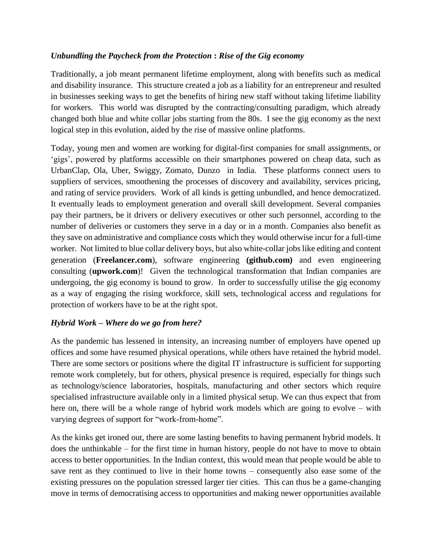## *Unbundling the Paycheck from the Protection* **:** *Rise of the Gig economy*

Traditionally, a job meant permanent lifetime employment, along with benefits such as medical and disability insurance. This structure created a job as a liability for an entrepreneur and resulted in businesses seeking ways to get the benefits of hiring new staff without taking lifetime liability for workers. This world was disrupted by the contracting/consulting paradigm, which already changed both blue and white collar jobs starting from the 80s. I see the gig economy as the next logical step in this evolution, aided by the rise of massive online platforms.

Today, young men and women are working for digital-first companies for small assignments, or 'gigs', powered by platforms accessible on their smartphones powered on cheap data, such as UrbanClap, Ola, Uber, Swiggy, Zomato, Dunzo in India. These platforms connect users to suppliers of services, smoothening the processes of discovery and availability, services pricing, and rating of service providers. Work of all kinds is getting unbundled, and hence democratized. It eventually leads to employment generation and overall skill development. Several companies pay their partners, be it drivers or delivery executives or other such personnel, according to the number of deliveries or customers they serve in a day or in a month. Companies also benefit as they save on administrative and compliance costs which they would otherwise incur for a full-time worker. Not limited to blue collar delivery boys, but also white-collar jobs like editing and content generation (**Freelancer.com**), software engineering **(github.com)** and even engineering consulting (**upwork.com**)! Given the technological transformation that Indian companies are undergoing, the gig economy is bound to grow. In order to successfully utilise the gig economy as a way of engaging the rising workforce, skill sets, technological access and regulations for protection of workers have to be at the right spot.

## *Hybrid Work – Where do we go from here?*

As the pandemic has lessened in intensity, an increasing number of employers have opened up offices and some have resumed physical operations, while others have retained the hybrid model. There are some sectors or positions where the digital IT infrastructure is sufficient for supporting remote work completely, but for others, physical presence is required, especially for things such as technology/science laboratories, hospitals, manufacturing and other sectors which require specialised infrastructure available only in a limited physical setup. We can thus expect that from here on, there will be a whole range of hybrid work models which are going to evolve – with varying degrees of support for "work-from-home".

As the kinks get ironed out, there are some lasting benefits to having permanent hybrid models. It does the unthinkable – for the first time in human history, people do not have to move to obtain access to better opportunities. In the Indian context, this would mean that people would be able to save rent as they continued to live in their home towns – consequently also ease some of the existing pressures on the population stressed larger tier cities. This can thus be a game-changing move in terms of democratising access to opportunities and making newer opportunities available